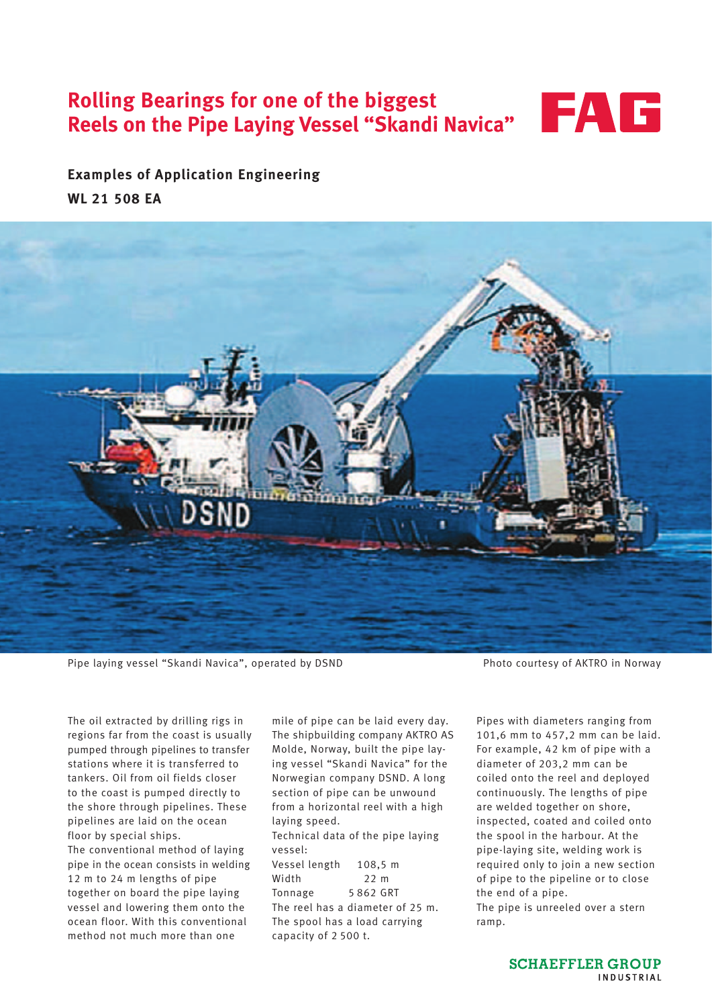# **Rolling Bearings for one of the biggest Reels on the Pipe Laying Vessel "Skandi Navica"**



**Examples of Application Engineering WL 21 508 EA**



Pipe laying vessel "Skandi Navica", operated by DSND Photo courtesy of AKTRO in Norway

The oil extracted by drilling rigs in regions far from the coast is usually pumped through pipelines to transfer stations where it is transferred to tankers. Oil from oil fields closer to the coast is pumped directly to the shore through pipelines. These pipelines are laid on the ocean floor by special ships. The conventional method of laying pipe in the ocean consists in welding 12 m to 24 m lengths of pipe together on board the pipe laying vessel and lowering them onto the ocean floor. With this conventional method not much more than one

mile of pipe can be laid every day. The shipbuilding company AKTRO AS Molde, Norway, built the pipe laying vessel "Skandi Navica" for the Norwegian company DSND. A long section of pipe can be unwound from a horizontal reel with a high laying speed.

Technical data of the pipe laying vessel:

Vessel length 108,5 m Width 22 m Tonnage 5 862 GRT The reel has a diameter of 25 m. The spool has a load carrying capacity of 2 500 t.

Pipes with diameters ranging from 101,6 mm to 457,2 mm can be laid. For example, 42 km of pipe with a diameter of 203,2 mm can be coiled onto the reel and deployed continuously. The lengths of pipe are welded together on shore, inspected, coated and coiled onto the spool in the harbour. At the pipe-laying site, welding work is required only to join a new section of pipe to the pipeline or to close the end of a pipe.

The pipe is unreeled over a stern ramp.

> **SCHAEFFLER GROUP INDUSTRIAL**